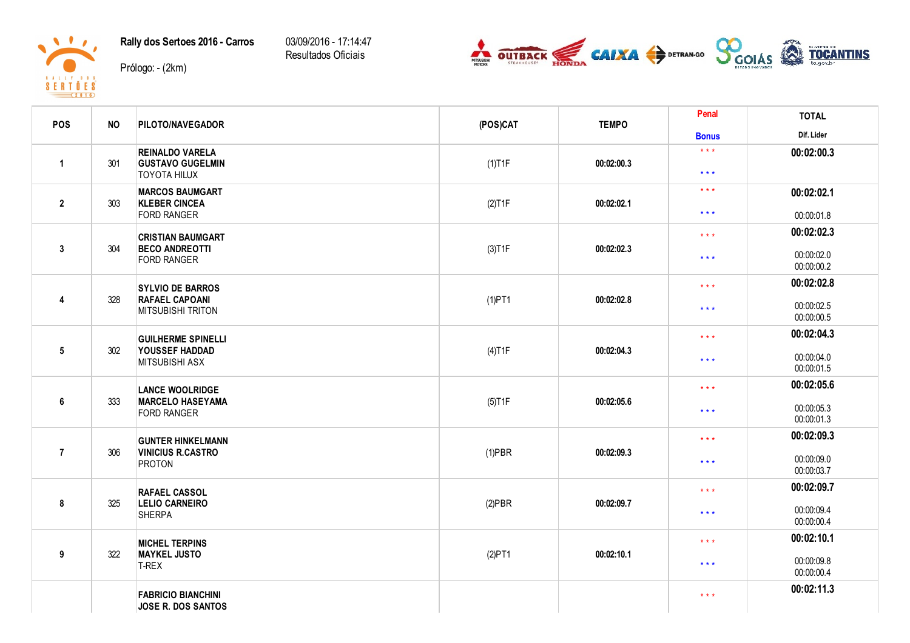Rally dos Sertoes 2016 - Carros

03/09/2016 - 17:14:47 Resultados Oficiais

Prólogo: - (2km)

 $\blacksquare$ 

 $\begin{array}{c}\n8 & 1 & 1 & 1 & 1 & 1 & 1 & 1 & 1 \\
8 & 6 & 1 & 1 & 1 & 1 & 1 & 1 \\
\hline\n & 1 & 1 & 1 & 1 & 1 & 1 & 1 \\
\hline\n & 2 & 0 & 1 & 1 & 1 & 1\n\end{array}$ 



| <b>POS</b>      | <b>NO</b> | <b>PILOTO/NAVEGADOR</b>                                                      | (POS)CAT  | <b>TEMPO</b>                          | Penal                            | <b>TOTAL</b>             |
|-----------------|-----------|------------------------------------------------------------------------------|-----------|---------------------------------------|----------------------------------|--------------------------|
|                 |           |                                                                              |           |                                       | <b>Bonus</b>                     | Dif. Lider               |
| $\overline{1}$  | 301       | <b>REINALDO VARELA</b><br><b>GUSTAVO GUGELMIN</b><br><b>TOYOTA HILUX</b>     |           |                                       | $\star$ $\star$ $\star$          | 00:02:00.3               |
|                 |           |                                                                              | $(1)$ T1F | 00:02:00.3                            | $\star$ $\star$ $\star$          |                          |
|                 | 303       | <b>MARCOS BAUMGART</b><br><b>KLEBER CINCEA</b><br><b>FORD RANGER</b>         | (2)T1F    | 00:02:02.1                            | $\star$ $\star$ $\star$          | 00:02:02.1               |
| $\overline{2}$  |           |                                                                              |           |                                       | $\star$ $\star$ $\star$          | 00:00:01.8               |
|                 |           | <b>CRISTIAN BAUMGART</b>                                                     |           |                                       | $\star$ $\star$ $\star$          | 00:02:02.3               |
| $\mathbf{3}$    | 304       | <b>BECO ANDREOTTI</b><br><b>FORD RANGER</b>                                  | (3)T1F    | 00:02:02.3                            | $\star$ $\star$ $\star$          | 00:00:02.0<br>00:00:00.2 |
|                 |           | <b>SYLVIO DE BARROS</b><br><b>RAFAEL CAPOANI</b><br><b>MITSUBISHI TRITON</b> |           |                                       | $\star$ $\star$ $\star$          | 00:02:02.8               |
| $\overline{4}$  | 328       |                                                                              | $(1)$ PT1 | 00:02:02.8                            | $***$                            | 00:00:02.5<br>00:00:00.5 |
|                 |           | <b>GUILHERME SPINELLI</b><br>YOUSSEF HADDAD<br><b>MITSUBISHI ASX</b>         |           |                                       | $\star$ $\star$ $\star$          | 00:02:04.3               |
| $5\phantom{.0}$ | 302       |                                                                              | $(4)$ T1F | 00:02:04.3                            | $\star$ $\star$ $\star$          | 00:00:04.0<br>00:00:01.5 |
|                 |           | <b>LANCE WOOLRIDGE</b>                                                       |           |                                       | $\star$ $\star$ $\star$          | 00:02:05.6               |
| $6\phantom{1}$  | 333       | <b>MARCELO HASEYAMA</b><br><b>FORD RANGER</b>                                | $(5)$ T1F | 00:02:05.6                            | $\star$ $\star$ $\star$          | 00:00:05.3<br>00:00:01.3 |
|                 |           | <b>GUNTER HINKELMANN</b>                                                     |           | 00:02:09.3                            | $\star \star \star$              | 00:02:09.3               |
| $\overline{7}$  | 306       | <b>VINICIUS R.CASTRO</b><br><b>PROTON</b>                                    | $(1)$ PBR |                                       | $\star$ $\star$ $\star$          | 00:00:09.0<br>00:00:03.7 |
|                 | 325       | <b>RAFAEL CASSOL</b><br><b>LELIO CARNEIRO</b><br><b>SHERPA</b>               |           |                                       | $***$<br>$\star$ $\star$ $\star$ | 00:02:09.7               |
| 8               |           |                                                                              | $(2)$ PBR | 00:02:09.7                            |                                  | 00:00:09.4<br>00:00:00.4 |
| 9               | 322       | <b>MICHEL TERPINS</b><br><b>MAYKEL JUSTO</b><br>T-REX                        |           |                                       | $\star$ $\star$ $\star$          | 00:02:10.1               |
|                 |           |                                                                              | (2)PT1    | 00:02:10.1<br>$\star$ $\star$ $\star$ |                                  | 00:00:09.8<br>00:00:00.4 |
|                 |           | <b>FABRICIO BIANCHINI</b><br>JOSE R. DOS SANTOS                              |           |                                       | $\star$ $\star$ $\star$          | 00:02:11.3               |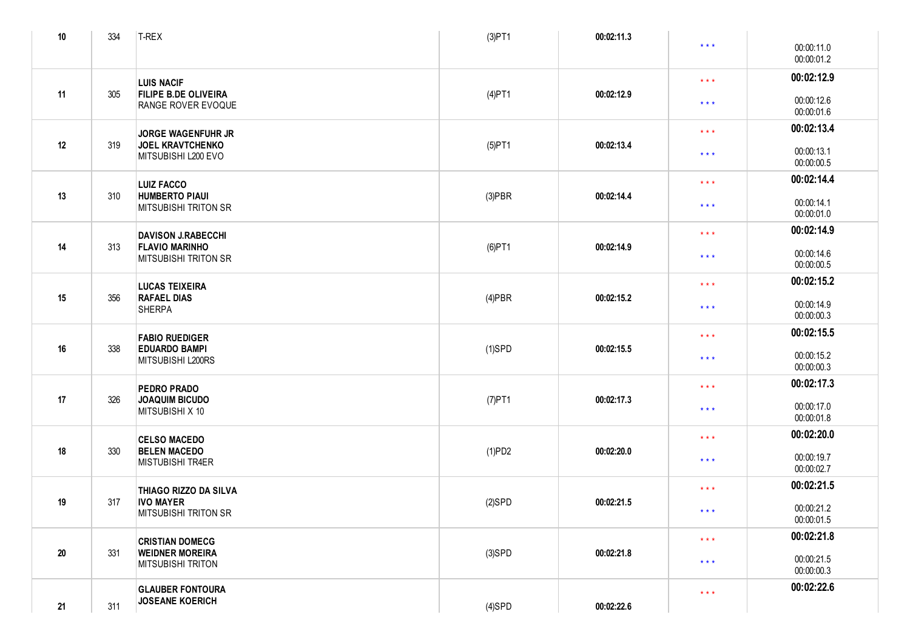| $10$ | 334                                        | T-REX                                                                    | (3)PT1     | 00:02:11.3              |                          |                          |
|------|--------------------------------------------|--------------------------------------------------------------------------|------------|-------------------------|--------------------------|--------------------------|
|      |                                            |                                                                          |            |                         | $\star \star \star$      | 00:00:11.0<br>00:00:01.2 |
|      |                                            | <b>LUIS NACIF</b>                                                        |            |                         | $\star$ $\star$ $\star$  | 00:02:12.9               |
| 11   | 305                                        | <b>FILIPE B.DE OLIVEIRA</b><br>RANGE ROVER EVOQUE                        | $(4)$ PT1  | 00:02:12.9              | $***$                    | 00:00:12.6<br>00:00:01.6 |
|      |                                            | <b>JORGE WAGENFUHR JR</b>                                                |            |                         | $\star$ $\star$ $\star$  | 00:02:13.4               |
| 12   | 319                                        | <b>JOEL KRAVTCHENKO</b><br>MITSUBISHI L200 EVO                           | $(5)$ PT1  | 00:02:13.4              | $***$                    | 00:00:13.1<br>00:00:00.5 |
|      |                                            | <b>LUIZ FACCO</b>                                                        |            |                         | $\star$ $\star$ $\star$  | 00:02:14.4               |
| 13   | 310                                        | <b>HUMBERTO PIAUI</b><br><b>MITSUBISHI TRITON SR</b>                     | $(3)$ PBR  | 00:02:14.4              | $\star$ $\star$ $\star$  | 00:00:14.1<br>00:00:01.0 |
|      |                                            | <b>DAVISON J.RABECCHI</b>                                                |            |                         | $\star$ $\star$ $\star$  | 00:02:14.9               |
| 14   | 313                                        | <b>FLAVIO MARINHO</b><br><b>MITSUBISHI TRITON SR</b>                     | $(6)$ PT1  | 00:02:14.9              | $\star$ $\star$ $\star$  | 00:00:14.6<br>00:00:00.5 |
|      |                                            | <b>LUCAS TEIXEIRA</b>                                                    |            |                         | $\star$ $\star$ $\star$  | 00:02:15.2               |
| 15   | 356<br><b>RAFAEL DIAS</b><br><b>SHERPA</b> | $(4)$ PBR                                                                | 00:02:15.2 | $\star$ $\star$ $\star$ | 00:00:14.9<br>00:00:00.3 |                          |
|      |                                            | <b>FABIO RUEDIGER</b>                                                    |            |                         | $\star$ $\star$ $\star$  | 00:02:15.5               |
| 16   | 338                                        | <b>EDUARDO BAMPI</b><br>MITSUBISHI L200RS                                | $(1)$ SPD  | 00:02:15.5              | $***$                    | 00:00:15.2<br>00:00:00.3 |
|      |                                            | <b>PEDRO PRADO</b>                                                       |            | $\star$ $\star$ $\star$ |                          | 00:02:17.3               |
| 17   | 326                                        | <b>JOAQUIM BICUDO</b><br>MITSUBISHI X 10                                 | $(7)$ PT1  | 00:02:17.3              | $***$                    | 00:00:17.0<br>00:00:01.8 |
|      |                                            | <b>CELSO MACEDO</b>                                                      |            |                         | $\star$ $\star$ $\star$  | 00:02:20.0               |
| 18   | 330                                        | <b>BELEN MACEDO</b><br>MISTUBISHI TR4ER                                  | (1)PD2     | 00:02:20.0              | $* * *$                  | 00:00:19.7<br>00:00:02.7 |
|      | 317                                        | THIAGO RIZZO DA SILVA<br><b>IVO MAYER</b><br><b>MITSUBISHI TRITON SR</b> |            |                         | $\star$ $\star$ $\star$  | 00:02:21.5               |
| 19   |                                            |                                                                          | $(2)$ SPD  | 00:02:21.5              | * * *                    | 00:00:21.2<br>00:00:01.5 |
|      |                                            | <b>CRISTIAN DOMECG</b>                                                   |            |                         | $\star$ $\star$ $\star$  | 00:02:21.8               |
| 20   | 331                                        | <b>WEIDNER MOREIRA</b><br><b>MITSUBISHI TRITON</b>                       | $(3)$ SPD  | 00:02:21.8              | $***$                    | 00:00:21.5<br>00:00:00.3 |
| 21   | 311                                        | <b>GLAUBER FONTOURA</b><br><b>JOSEANE KOERICH</b>                        | $(4)$ SPD  | 00:02:22.6              | $\star$ $\star$ $\star$  | 00:02:22.6               |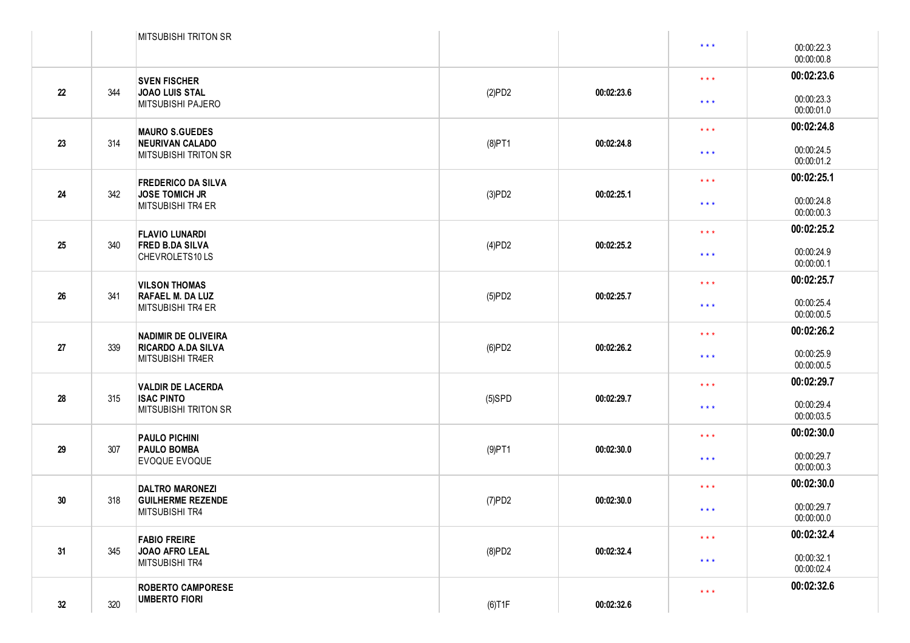|    |     | <b>MITSUBISHI TRITON SR</b>                                                 |           |            |                                                                                              |                          |
|----|-----|-----------------------------------------------------------------------------|-----------|------------|----------------------------------------------------------------------------------------------|--------------------------|
|    |     |                                                                             |           |            | $\star$ $\star$ $\star$                                                                      | 00:00:22.3<br>00:00:00.8 |
|    |     | <b>SVEN FISCHER</b>                                                         |           |            | $\star$ $\star$ $\star$                                                                      | 00:02:23.6               |
| 22 | 344 | <b>JOAO LUIS STAL</b><br>MITSUBISHI PAJERO                                  | (2)PD2    | 00:02:23.6 | $\star$ $\star$ $\star$                                                                      | 00:00:23.3<br>00:00:01.0 |
|    |     | <b>MAURO S.GUEDES</b>                                                       |           |            | $\star$ $\star$ $\star$                                                                      | 00:02:24.8               |
| 23 | 314 | <b>NEURIVAN CALADO</b><br><b>MITSUBISHI TRITON SR</b>                       | $(8)$ PT1 | 00:02:24.8 | $\star$ $\star$ $\star$                                                                      | 00:00:24.5<br>00:00:01.2 |
|    |     | <b>FREDERICO DA SILVA</b>                                                   |           |            | $\star$ $\star$ $\star$                                                                      | 00:02:25.1               |
| 24 | 342 | <b>JOSE TOMICH JR</b><br>MITSUBISHI TR4 ER                                  | (3)PD2    | 00:02:25.1 | $\star$ $\star$ $\star$                                                                      | 00:00:24.8<br>00:00:00.3 |
|    |     | <b>FLAVIO LUNARDI</b>                                                       |           |            | $\star$ $\star$ $\star$                                                                      | 00:02:25.2               |
| 25 | 340 | <b>FRED B.DA SILVA</b><br>CHEVROLETS10LS                                    | (4)PD2    | 00:02:25.2 | $\star$ $\star$ $\star$                                                                      | 00:00:24.9<br>00:00:00.1 |
|    | 341 | <b>VILSON THOMAS</b><br><b>RAFAEL M. DA LUZ</b><br>MITSUBISHI TR4 ER        |           |            | $\star$ $\star$ $\star$                                                                      | 00:02:25.7               |
| 26 |     |                                                                             | (5)PD2    | 00:02:25.7 | $\star$ $\star$ $\star$                                                                      | 00:00:25.4<br>00:00:00.5 |
|    | 339 | NADIMIR DE OLIVEIRA<br><b>RICARDO A.DA SILVA</b><br><b>MITSUBISHI TR4ER</b> |           |            | $\star$ $\star$ $\star$                                                                      | 00:02:26.2               |
| 27 |     |                                                                             | (6)PD2    | 00:02:26.2 | $\star$ $\star$ $\star$                                                                      | 00:00:25.9<br>00:00:00.5 |
|    |     | <b>VALDIR DE LACERDA</b>                                                    |           |            | $\star$ $\star$ $\star$                                                                      | 00:02:29.7               |
| 28 | 315 | <b>ISAC PINTO</b><br><b>MITSUBISHI TRITON SR</b>                            | $(5)$ SPD | 00:02:29.7 | $\star$ $\star$ $\star$                                                                      | 00:00:29.4<br>00:00:03.5 |
|    | 307 | <b>PAULO PICHINI</b><br><b>PAULO BOMBA</b><br><b>EVOQUE EVOQUE</b>          |           |            | 00:02:30.0<br>$\star$ $\star$ $\star$<br>00:00:29.7<br>$\star$ $\star$ $\star$<br>00:00:00.3 |                          |
| 29 |     |                                                                             | $(9)$ PT1 | 00:02:30.0 |                                                                                              |                          |
|    | 318 | <b>DALTRO MARONEZI</b><br><b>GUILHERME REZENDE</b><br>MITSUBISHI TR4        |           |            | $\star$ $\star$ $\star$                                                                      | 00:02:30.0               |
| 30 |     |                                                                             | (7)PD2    | 00:02:30.0 | $***$                                                                                        | 00:00:29.7<br>00:00:00.0 |
|    | 345 | <b>FABIO FREIRE</b><br>JOAO AFRO LEAL<br>MITSUBISHI TR4                     |           |            | $\star$ $\star$ $\star$                                                                      | 00:02:32.4               |
| 31 |     |                                                                             | (8)PD2    | 00:02:32.4 | $\star$ $\star$ $\star$                                                                      | 00:00:32.1<br>00:00:02.4 |
| 32 | 320 | <b>ROBERTO CAMPORESE</b><br><b>UMBERTO FIORI</b>                            | $(6)$ T1F | 00:02:32.6 | $\star$ $\star$ $\star$                                                                      | 00:02:32.6               |